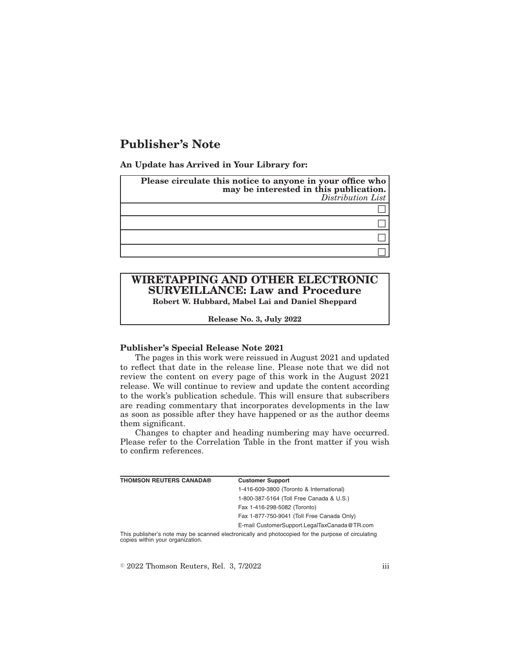# **Publisher's Note**

**An Update has Arrived in Your Library for:**

| Please circulate this notice to anyone in your office who<br>may be interested in this publication.<br>Distribution List |
|--------------------------------------------------------------------------------------------------------------------------|
|                                                                                                                          |
|                                                                                                                          |
|                                                                                                                          |
|                                                                                                                          |

# **WIRETAPPING AND OTHER ELECTRONIC SURVEILLANCE: Law and Procedure Robert W. Hubbard, Mabel Lai and Daniel Sheppard**

**Release No. 3, July 2022**

#### **Publisher's Special Release Note 2021**

The pages in this work were reissued in August 2021 and updated to reflect that date in the release line. Please note that we did not review the content on every page of this work in the August 2021 release. We will continue to review and update the content according to the work's publication schedule. This will ensure that subscribers are reading commentary that incorporates developments in the law as soon as possible after they have happened or as the author deems them significant.

Changes to chapter and heading numbering may have occurred. Please refer to the Correlation Table in the front matter if you wish to confirm references.

| THOMSON REUTERS CANADA®                                                                            | <b>Customer Support</b>                      |
|----------------------------------------------------------------------------------------------------|----------------------------------------------|
|                                                                                                    | 1-416-609-3800 (Toronto & International)     |
|                                                                                                    | 1-800-387-5164 (Toll Free Canada & U.S.)     |
|                                                                                                    | Fax 1-416-298-5082 (Toronto)                 |
|                                                                                                    | Fax 1-877-750-9041 (Toll Free Canada Only)   |
|                                                                                                    | E-mail CustomerSupport.LegalTaxCanada@TR.com |
| This publisher's note may be scanned electronically and photocopied for the purpose of circulating |                                              |

This publisher's note may be scanned electronically and photocopied for the purpose of circulating copies within your organization.

 $\textdegree$  2022 Thomson Reuters, Rel. 3, 7/2022 iii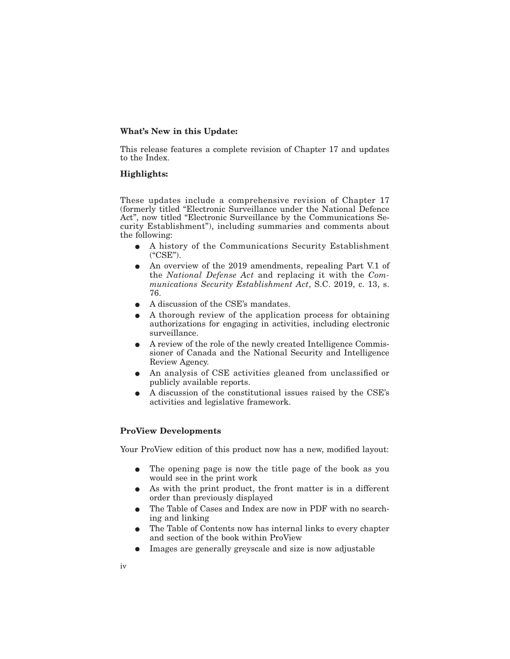## **What's New in this Update:**

This release features a complete revision of Chapter 17 and updates to the Index.

#### **Highlights:**

These updates include a comprehensive revision of Chapter 17 (formerly titled "Electronic Surveillance under the National Defence Act", now titled "Electronic Surveillance by the Communications Security Establishment"), including summaries and comments about the following:

- E A history of the Communications Security Establishment ("CSE").
- An overview of the 2019 amendments, repealing Part V.1 of the *National Defense Act* and replacing it with the *Communications Security Establishment Act*, S.C. 2019, c. 13, s. 76.
- A discussion of the CSE's mandates.
- E A thorough review of the application process for obtaining authorizations for engaging in activities, including electronic surveillance.
- E A review of the role of the newly created Intelligence Commissioner of Canada and the National Security and Intelligence Review Agency.
- E An analysis of CSE activities gleaned from unclassified or publicly available reports.
- E A discussion of the constitutional issues raised by the CSE's activities and legislative framework.

## **ProView Developments**

Your ProView edition of this product now has a new, modified layout:

- The opening page is now the title page of the book as you would see in the print work
- As with the print product, the front matter is in a different order than previously displayed
- The Table of Cases and Index are now in PDF with no searching and linking
- The Table of Contents now has internal links to every chapter and section of the book within ProView
- Images are generally greyscale and size is now adjustable